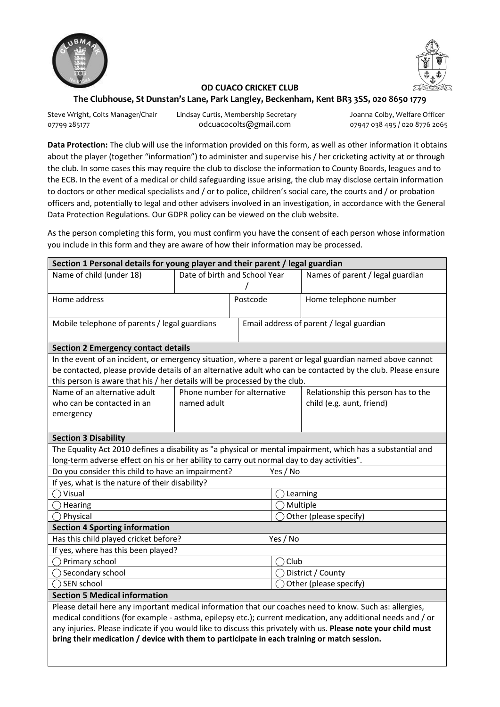

## **OD CUACO CRICKET CLUB**

## **The Clubhouse, St Dunstan's Lane, Park Langley, Beckenham, Kent BR3 3SS, 020 8650 1779**

Steve Wright, Colts Manager/Chair Lindsay Curtis, Membership Secretary Steve Moranna Colby, Welfare Officer 07799 285177 odcuacocolts@gmail.com 07947 038 495 / 020 8776 2065

**Data Protection:** The club will use the information provided on this form, as well as other information it obtains about the player (together "information") to administer and supervise his / her cricketing activity at or through the club. In some cases this may require the club to disclose the information to County Boards, leagues and to the ECB. In the event of a medical or child safeguarding issue arising, the club may disclose certain information to doctors or other medical specialists and / or to police, children's social care, the courts and / or probation officers and, potentially to legal and other advisers involved in an investigation, in accordance with the General Data Protection Regulations. Our GDPR policy can be viewed on the club website.

As the person completing this form, you must confirm you have the consent of each person whose information you include in this form and they are aware of how their information may be processed.

| Section 1 Personal details for young player and their parent / legal guardian                                                                                                                                                 |                               |                              |          |                                          |  |
|-------------------------------------------------------------------------------------------------------------------------------------------------------------------------------------------------------------------------------|-------------------------------|------------------------------|----------|------------------------------------------|--|
| Name of child (under 18)                                                                                                                                                                                                      | Date of birth and School Year |                              |          | Names of parent / legal guardian         |  |
|                                                                                                                                                                                                                               |                               |                              |          |                                          |  |
| Home address                                                                                                                                                                                                                  |                               | Postcode                     |          | Home telephone number                    |  |
|                                                                                                                                                                                                                               |                               |                              |          |                                          |  |
| Mobile telephone of parents / legal guardians                                                                                                                                                                                 |                               |                              |          | Email address of parent / legal guardian |  |
|                                                                                                                                                                                                                               |                               |                              |          |                                          |  |
| <b>Section 2 Emergency contact details</b>                                                                                                                                                                                    |                               |                              |          |                                          |  |
| In the event of an incident, or emergency situation, where a parent or legal guardian named above cannot                                                                                                                      |                               |                              |          |                                          |  |
| be contacted, please provide details of an alternative adult who can be contacted by the club. Please ensure                                                                                                                  |                               |                              |          |                                          |  |
| this person is aware that his / her details will be processed by the club.                                                                                                                                                    |                               |                              |          |                                          |  |
| Name of an alternative adult                                                                                                                                                                                                  |                               | Phone number for alternative |          | Relationship this person has to the      |  |
| who can be contacted in an                                                                                                                                                                                                    |                               | named adult                  |          | child (e.g. aunt, friend)                |  |
| emergency                                                                                                                                                                                                                     |                               |                              |          |                                          |  |
| <b>Section 3 Disability</b>                                                                                                                                                                                                   |                               |                              |          |                                          |  |
| The Equality Act 2010 defines a disability as "a physical or mental impairment, which has a substantial and                                                                                                                   |                               |                              |          |                                          |  |
| long-term adverse effect on his or her ability to carry out normal day to day activities".                                                                                                                                    |                               |                              |          |                                          |  |
| Do you consider this child to have an impairment?<br>Yes / No                                                                                                                                                                 |                               |                              |          |                                          |  |
| If yes, what is the nature of their disability?                                                                                                                                                                               |                               |                              |          |                                          |  |
| Visual<br>$\overline{\phantom{a}}$                                                                                                                                                                                            |                               | Learning                     |          |                                          |  |
| Hearing                                                                                                                                                                                                                       |                               |                              | Multiple |                                          |  |
| Physical                                                                                                                                                                                                                      |                               | Other (please specify)       |          |                                          |  |
| <b>Section 4 Sporting information</b>                                                                                                                                                                                         |                               |                              |          |                                          |  |
| Has this child played cricket before?<br>Yes / No                                                                                                                                                                             |                               |                              |          |                                          |  |
| If yes, where has this been played?                                                                                                                                                                                           |                               |                              |          |                                          |  |
| Primary school                                                                                                                                                                                                                |                               |                              | Club     |                                          |  |
| $\bigcirc$ Secondary school                                                                                                                                                                                                   |                               | District / County            |          |                                          |  |
| SEN school                                                                                                                                                                                                                    |                               | Other (please specify)       |          |                                          |  |
| <b>Section 5 Medical information</b>                                                                                                                                                                                          |                               |                              |          |                                          |  |
| Please detail here any important medical information that our coaches need to know. Such as: allergies,                                                                                                                       |                               |                              |          |                                          |  |
| medical conditions (for example - asthma, epilepsy etc.); current medication, any additional needs and / or<br>any injuries. Please indicate if you would like to discuss this privately with us. Please note your child must |                               |                              |          |                                          |  |
| bring their medication / device with them to participate in each training or match session.                                                                                                                                   |                               |                              |          |                                          |  |
|                                                                                                                                                                                                                               |                               |                              |          |                                          |  |